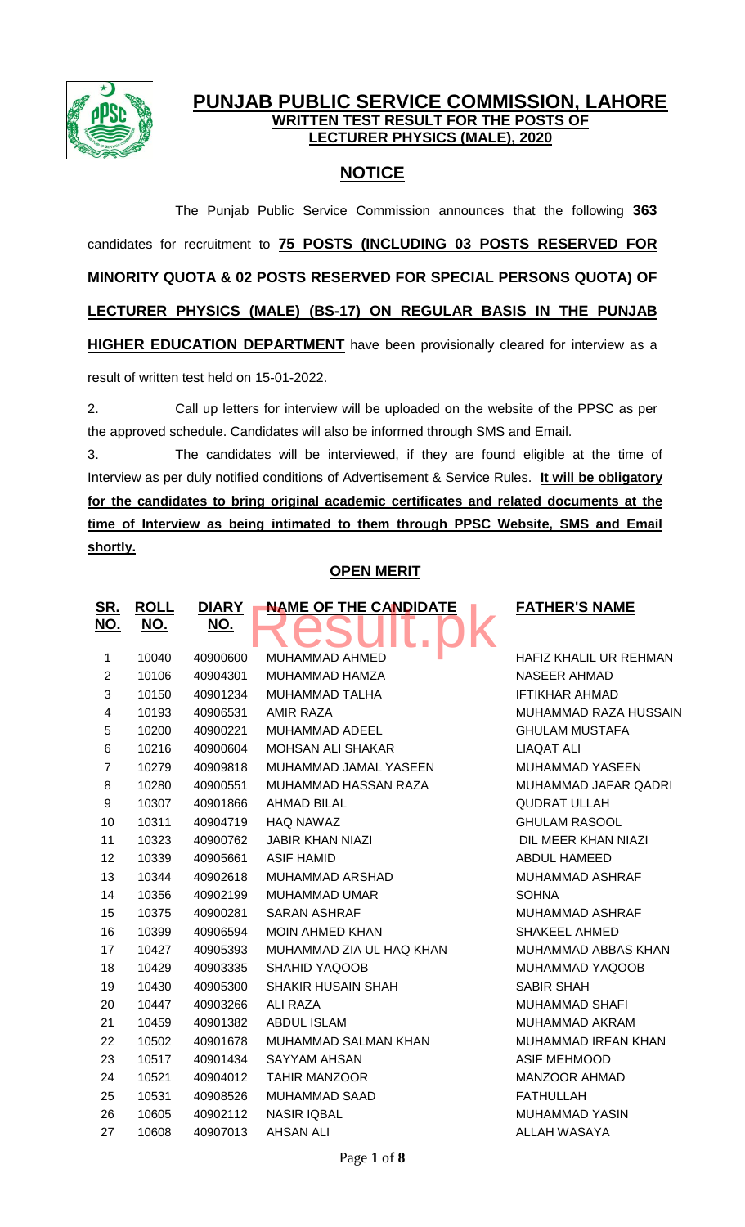

# **PUNJAB PUBLIC SERVICE COMMISSION, LAHORE WRITTEN TEST RESULT FOR THE POSTS OF LECTURER PHYSICS (MALE), 2020**

# **NOTICE**

The Punjab Public Service Commission announces that the following **363** candidates for recruitment to **75 POSTS (INCLUDING 03 POSTS RESERVED FOR MINORITY QUOTA & 02 POSTS RESERVED FOR SPECIAL PERSONS QUOTA) OF LECTURER PHYSICS (MALE) (BS-17) ON REGULAR BASIS IN THE PUNJAB HIGHER EDUCATION DEPARTMENT** have been provisionally cleared for interview as a result of written test held on 15-01-2022.

2. Call up letters for interview will be uploaded on the website of the PPSC as per the approved schedule. Candidates will also be informed through SMS and Email.

3. The candidates will be interviewed, if they are found eligible at the time of Interview as per duly notified conditions of Advertisement & Service Rules. **It will be obligatory for the candidates to bring original academic certificates and related documents at the time of Interview as being intimated to them through PPSC Website, SMS and Email shortly.**

# **OPEN MERIT**

| <u>SR.</u>              | <b>ROLL</b> | <b>DIARY</b> | <b>NAME OF THE CANDIDATE</b> | <b>FATHI</b>       |
|-------------------------|-------------|--------------|------------------------------|--------------------|
| <u>NO.</u>              | <u>NO.</u>  | NO.          |                              |                    |
| 1                       | 10040       | 40900600     | MUHAMMAD AHMED               | <b>HAFIZK</b>      |
| $\boldsymbol{2}$        | 10106       | 40904301     | MUHAMMAD HAMZA               | <b>NASEE</b>       |
| 3                       | 10150       | 40901234     | MUHAMMAD TALHA               | <b>IFTIKHA</b>     |
| $\overline{\mathbf{4}}$ | 10193       | 40906531     | <b>AMIR RAZA</b>             | <b>MUHAN</b>       |
| 5                       | 10200       | 40900221     | MUHAMMAD ADEEL               | <b>GHULA</b>       |
| 6                       | 10216       | 40900604     | <b>MOHSAN ALI SHAKAR</b>     | <b>LIAQAT</b>      |
| $\overline{7}$          | 10279       | 40909818     | MUHAMMAD JAMAL YASEEN        | <b>MUHAN</b>       |
| 8                       | 10280       | 40900551     | MUHAMMAD HASSAN RAZA         | <b>MUHAN</b>       |
| 9                       | 10307       | 40901866     | <b>AHMAD BILAL</b>           | <b>QUDRA</b>       |
| 10                      | 10311       | 40904719     | <b>HAQ NAWAZ</b>             | <b>GHULA</b>       |
| 11                      | 10323       | 40900762     | <b>JABIR KHAN NIAZI</b>      | <b>DIL ME</b>      |
| 12                      | 10339       | 40905661     | <b>ASIF HAMID</b>            | <b>ABDUL</b>       |
| 13                      | 10344       | 40902618     | MUHAMMAD ARSHAD              | <b>MUHAN</b>       |
| 14                      | 10356       | 40902199     | <b>MUHAMMAD UMAR</b>         | <b>SOHNA</b>       |
| 15                      | 10375       | 40900281     | <b>SARAN ASHRAF</b>          | <b>MUHAN</b>       |
| 16                      | 10399       | 40906594     | <b>MOIN AHMED KHAN</b>       | <b>SHAKEI</b>      |
| 17                      | 10427       | 40905393     | MUHAMMAD ZIA UL HAQ KHAN     | <b>MUHAN</b>       |
| 18                      | 10429       | 40903335     | SHAHID YAQOOB                | <b>MUHAN</b>       |
| 19                      | 10430       | 40905300     | <b>SHAKIR HUSAIN SHAH</b>    | <b>SABIR S</b>     |
| 20                      | 10447       | 40903266     | ALI RAZA                     | <b>MUHAN</b>       |
| 21                      | 10459       | 40901382     | <b>ABDUL ISLAM</b>           | <b>MUHAN</b>       |
| 22                      | 10502       | 40901678     | MUHAMMAD SALMAN KHAN         | <b>MUHAN</b>       |
| 23                      | 10517       | 40901434     | <b>SAYYAM AHSAN</b>          | <b>ASIF MI</b>     |
| 24                      | 10521       | 40904012     | <b>TAHIR MANZOOR</b>         | <b>MANZO</b>       |
| 25                      | 10531       | 40908526     | <b>MUHAMMAD SAAD</b>         | <b>FATHUI</b>      |
| 26                      | 10605       | 40902112     | <b>NASIR IQBAL</b>           | <b>MUHAN</b>       |
| 27                      | 10608       | 40907013     | <b>AHSAN ALI</b>             | ALLAH <sup>'</sup> |

### **FATHER'S NAME**

HAFIZ KHALIL UR REHMAN NASEER AHMAD **IFTIKHAR AHMAD** MUHAMMAD RAZA HUSSAIN **GHULAM MUSTAFA** LIAQAT ALI MUHAMMAD YASEEN MUHAMMAD JAFAR QADRI **QUDRAT ULLAH GHULAM RASOOL** DIL MEER KHAN NIAZI ABDUL HAMEED MUHAMMAD ASHRAF MUHAMMAD ASHRAF SHAKEEL AHMED MUHAMMAD ABBAS KHAN MUHAMMAD YAQOOB SABIR SHAH MUHAMMAD SHAFI MUHAMMAD AKRAM MUHAMMAD IRFAN KHAN **ASIF MEHMOOD** MANZOOR AHMAD **FATHULLAH** MUHAMMAD YASIN ALLAH WASAYA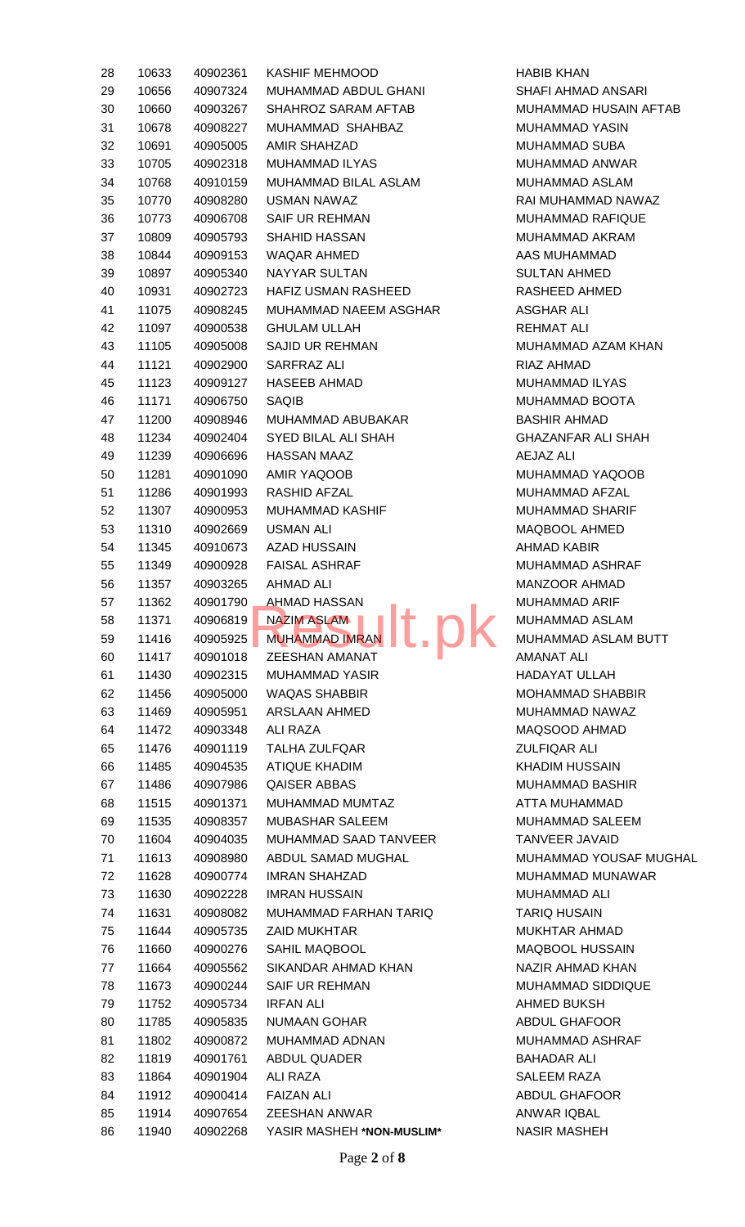| 28 | 10633 | 40902361 | <b>KASHIF MEHMOOD</b>                                    | <b>HABIB KHAN</b>  |
|----|-------|----------|----------------------------------------------------------|--------------------|
| 29 | 10656 | 40907324 | MUHAMMAD ABDUL GHANI                                     | <b>SHAFI AHMA</b>  |
| 30 | 10660 | 40903267 | SHAHROZ SARAM AFTAB                                      | <b>MUHAMMAD</b>    |
| 31 | 10678 | 40908227 | MUHAMMAD SHAHBAZ                                         | <b>MUHAMMAD</b>    |
| 32 | 10691 | 40905005 | <b>AMIR SHAHZAD</b>                                      | <b>MUHAMMAD</b>    |
| 33 | 10705 | 40902318 | MUHAMMAD ILYAS                                           | <b>MUHAMMAD</b>    |
| 34 | 10768 | 40910159 | MUHAMMAD BILAL ASLAM                                     | MUHAMMAD           |
| 35 | 10770 | 40908280 | USMAN NAWAZ                                              | <b>RAI MUHAMN</b>  |
| 36 | 10773 | 40906708 | SAIF UR REHMAN                                           | <b>MUHAMMAD</b>    |
| 37 | 10809 | 40905793 | <b>SHAHID HASSAN</b>                                     | <b>MUHAMMAD</b>    |
| 38 | 10844 | 40909153 | WAQAR AHMED                                              | <b>AAS MUHAM</b>   |
| 39 | 10897 | 40905340 | NAYYAR SULTAN                                            | <b>SULTAN AHM</b>  |
| 40 | 10931 | 40902723 | HAFIZ USMAN RASHEED                                      | RASHEED AH         |
| 41 | 11075 | 40908245 | MUHAMMAD NAEEM ASGHAR                                    | <b>ASGHAR ALI</b>  |
| 42 | 11097 | 40900538 | <b>GHULAM ULLAH</b>                                      | <b>REHMAT ALI</b>  |
| 43 | 11105 | 40905008 | <b>SAJID UR REHMAN</b>                                   | <b>MUHAMMAD</b>    |
| 44 | 11121 | 40902900 | SARFRAZ ALI                                              | <b>RIAZ AHMAD</b>  |
| 45 | 11123 | 40909127 | <b>HASEEB AHMAD</b>                                      | MUHAMMAD           |
| 46 | 11171 | 40906750 | <b>SAQIB</b>                                             | MUHAMMAD           |
| 47 | 11200 | 40908946 | MUHAMMAD ABUBAKAR                                        | <b>BASHIR AHM</b>  |
| 48 | 11234 | 40902404 | <b>SYED BILAL ALI SHAH</b>                               | <b>GHAZANFAR</b>   |
| 49 | 11239 | 40906696 | <b>HASSAN MAAZ</b>                                       | AEJAZ ALI          |
| 50 | 11281 | 40901090 | AMIR YAQOOB                                              | <b>MUHAMMAD</b>    |
| 51 |       |          | RASHID AFZAL                                             | <b>MUHAMMAD</b>    |
|    | 11286 | 40901993 |                                                          |                    |
| 52 | 11307 | 40900953 | <b>MUHAMMAD KASHIF</b><br><b>USMAN ALI</b>               | <b>MUHAMMAD</b>    |
| 53 | 11310 | 40902669 |                                                          | MAQBOOL AI         |
| 54 | 11345 | 40910673 | <b>AZAD HUSSAIN</b>                                      | <b>AHMAD KABI</b>  |
| 55 | 11349 | 40900928 | <b>FAISAL ASHRAF</b>                                     | <b>MUHAMMAD</b>    |
| 56 | 11357 | 40903265 | <b>AHMAD ALI</b>                                         | <b>MANZOOR AI</b>  |
| 57 | 11362 | 40901790 | <b>AHMAD HASSAN</b><br>and the state of the state of the | <b>MUHAMMAD</b>    |
| 58 | 11371 | 40906819 | <b>NAZIM ASLAM</b>                                       | <b>MUHAMMAD</b>    |
| 59 | 11416 | 40905925 | <b>MUHAMMAD IMRAN</b>                                    | MUHAMMAD           |
| 60 | 11417 | 40901018 | <b>ZEESHAN AMANAT</b>                                    | <b>AMANAT ALI</b>  |
| 61 | 11430 | 40902315 | <b>MUHAMMAD YASIR</b>                                    | <b>HADAYAT UL</b>  |
| 62 | 11456 | 40905000 | <b>WAQAS SHABBIR</b>                                     | <b>MOHAMMAD</b>    |
| 63 | 11469 | 40905951 | <b>ARSLAAN AHMED</b>                                     | <b>MUHAMMAD</b>    |
| 64 | 11472 | 40903348 | ALI RAZA                                                 | MAQSOOD A          |
| 65 | 11476 | 40901119 | <b>TALHA ZULFQAR</b>                                     | <b>ZULFIQAR AL</b> |
| 66 | 11485 | 40904535 | <b>ATIQUE KHADIM</b>                                     | <b>KHADIM HUS</b>  |
| 67 | 11486 | 40907986 | <b>QAISER ABBAS</b>                                      | <b>MUHAMMAD</b>    |
| 68 | 11515 | 40901371 | MUHAMMAD MUMTAZ                                          | <b>ATTA MUHAN</b>  |
| 69 | 11535 | 40908357 | MUBASHAR SALEEM                                          | <b>MUHAMMAD</b>    |
| 70 | 11604 | 40904035 | MUHAMMAD SAAD TANVEER                                    | <b>TANVEER JA</b>  |
| 71 | 11613 | 40908980 | ABDUL SAMAD MUGHAL                                       | <b>MUHAMMAD</b>    |
| 72 | 11628 | 40900774 | <b>IMRAN SHAHZAD</b>                                     | MUHAMMAD           |
| 73 | 11630 | 40902228 | <b>IMRAN HUSSAIN</b>                                     | <b>MUHAMMAD</b>    |
| 74 | 11631 | 40908082 | MUHAMMAD FARHAN TARIQ                                    | <b>TARIQ HUSA</b>  |
| 75 | 11644 | 40905735 | ZAID MUKHTAR                                             | <b>MUKHTAR AH</b>  |
| 76 | 11660 | 40900276 | SAHIL MAQBOOL                                            | MAQBOOL HI         |
| 77 | 11664 | 40905562 | SIKANDAR AHMAD KHAN                                      | <b>NAZIR AHMA</b>  |
| 78 | 11673 | 40900244 | <b>SAIF UR REHMAN</b>                                    | <b>MUHAMMAD</b>    |
| 79 | 11752 | 40905734 | <b>IRFAN ALI</b>                                         | <b>AHMED BUKS</b>  |
| 80 | 11785 | 40905835 | <b>NUMAAN GOHAR</b>                                      | <b>ABDUL GHAF</b>  |
| 81 | 11802 | 40900872 | MUHAMMAD ADNAN                                           | <b>MUHAMMAD</b>    |
| 82 | 11819 | 40901761 | <b>ABDUL QUADER</b>                                      | <b>BAHADAR AL</b>  |
| 83 | 11864 | 40901904 | ALI RAZA                                                 | <b>SALEEM RAZ</b>  |
| 84 | 11912 | 40900414 | <b>FAIZAN ALI</b>                                        | <b>ABDUL GHAF</b>  |
| 85 | 11914 | 40907654 | <b>ZEESHAN ANWAR</b>                                     | <b>ANWAR IQBA</b>  |
| 86 | 11940 | 40902268 | YASIR MASHEH *NON-MUSLIM*                                | <b>NASIR MASH</b>  |

SHAFI AHMAD ANSARI MUHAMMAD HUSAIN AFTAB MUHAMMAD YASIN MUHAMMAD SUBA MUHAMMAD ANWAR MUHAMMAD ASLAM RAI MUHAMMAD NAWAZ MUHAMMAD RAFIQUE MUHAMMAD AKRAM AAS MUHAMMAD SULTAN AHMED RASHEED AHMED ASGHAR ALI REHMAT ALI MUHAMMAD AZAM KHAN RIAZ AHMAD MUHAMMAD ILYAS MUHAMMAD BOOTA BASHIR AHMAD GHAZANFAR ALI SHAH AEJAZ ALI MUHAMMAD YAQOOB MUHAMMAD AFZAL MUHAMMAD SHARIF MAQBOOL AHMED AHMAD KABIR MUHAMMAD ASHRAF MANZOOR AHMAD MUHAMMAD ARIF MUHAMMAD ASLAM MUHAMMAD ASLAM BUTT AMANAT ALI HADAYAT ULLAH MOHAMMAD SHABBIR MUHAMMAD NAWAZ MAQSOOD AHMAD ZULFIQAR ALI KHADIM HUSSAIN MUHAMMAD BASHIR **ATTA MUHAMMAD** MUHAMMAD SALEEM TANVEER JAVAID MUHAMMAD YOUSAF MUGHAL MUHAMMAD MUNAWAR MUHAMMAD ALI **TARIQ HUSAIN** MUKHTAR AHMAD MAQBOOL HUSSAIN NAZIR AHMAD KHAN MUHAMMAD SIDDIQUE AHMED BUKSH ABDUL GHAFOOR MUHAMMAD ASHRAF BAHADAR ALI SALEEM RAZA ABDUL GHAFOOR ANWAR IQBAL **NASIR MASHEH**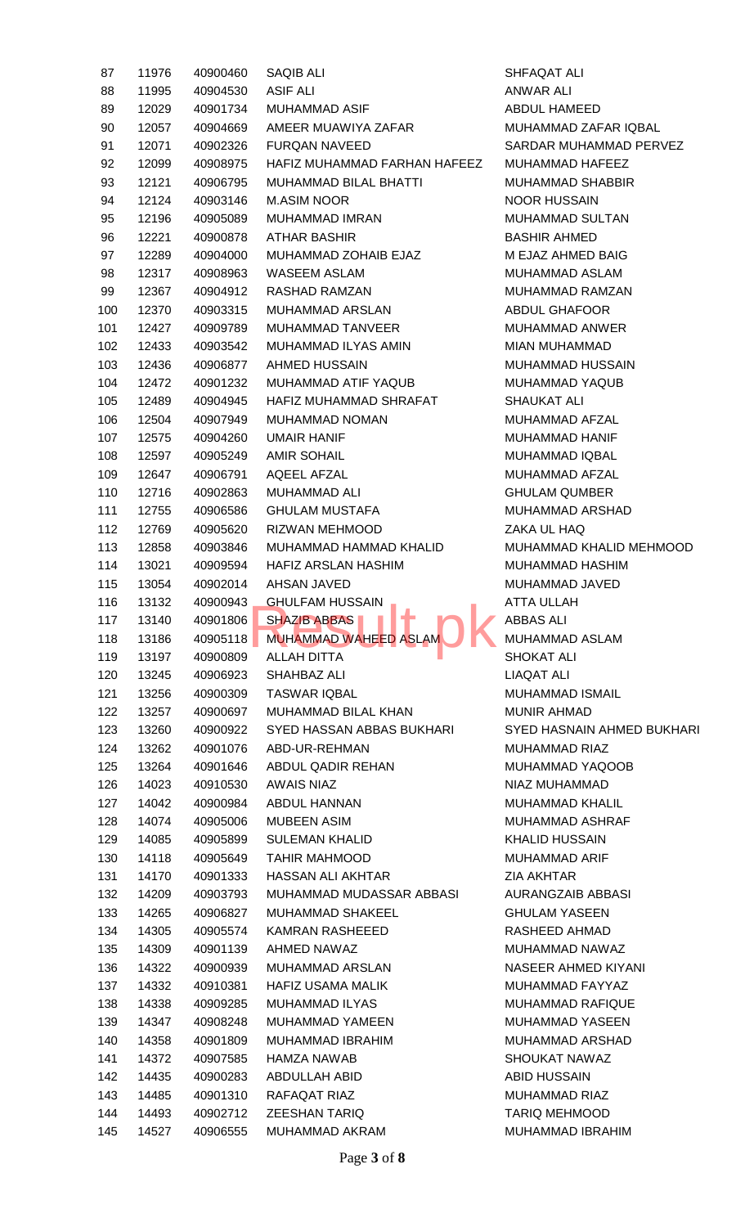| 87         | 11976          | 40900460             | SAQIB ALI                                                |
|------------|----------------|----------------------|----------------------------------------------------------|
| 88         | 11995          | 40904530             | <b>ASIF ALI</b>                                          |
| 89         | 12029          | 40901734             | <b>MUHAMMAD ASIF</b>                                     |
| 90         | 12057          | 40904669             | AMEER MUAWIYA ZAFAR                                      |
| 91         | 12071          | 40902326             | <b>FURQAN NAVEED</b>                                     |
| 92         | 12099          | 40908975             | HAFIZ MUHAMMAD FARHAN HAFEEZ                             |
| 93         | 12121          | 40906795             | <b>MUHAMMAD BILAL BHATTI</b>                             |
| 94         | 12124          | 40903146             | <b>M.ASIM NOOR</b>                                       |
| 95         | 12196          | 40905089             | <b>MUHAMMAD IMRAN</b>                                    |
| 96         | 12221          | 40900878             | ATHAR BASHIR                                             |
| 97         | 12289          | 40904000             | MUHAMMAD ZOHAIB EJAZ                                     |
| 98         | 12317          | 40908963             | <b>WASEEM ASLAM</b>                                      |
| 99         | 12367          | 40904912             | RASHAD RAMZAN                                            |
| 100        | 12370          | 40903315             | MUHAMMAD ARSLAN                                          |
| 101        | 12427          | 40909789             | <b>MUHAMMAD TANVEER</b>                                  |
| 102        | 12433          | 40903542             | MUHAMMAD ILYAS AMIN                                      |
| 103        | 12436          | 40906877             | <b>AHMED HUSSAIN</b>                                     |
|            | 12472          | 40901232             | MUHAMMAD ATIF YAQUB                                      |
| 104        |                |                      |                                                          |
| 105<br>106 | 12489          | 40904945             | HAFIZ MUHAMMAD SHRAFAT                                   |
|            | 12504          | 40907949             | <b>MUHAMMAD NOMAN</b>                                    |
| 107        | 12575          | 40904260             | UMAIR HANIF                                              |
| 108        | 12597          | 40905249             | AMIR SOHAIL                                              |
| 109        | 12647          | 40906791             | AQEEL AFZAL                                              |
| 110        | 12716          | 40902863             | <b>MUHAMMAD ALI</b>                                      |
| 111        | 12755          | 40906586             | <b>GHULAM MUSTAFA</b>                                    |
| 112        | 12769          | 40905620             | RIZWAN MEHMOOD                                           |
| 113        | 12858          | 40903846             | MUHAMMAD HAMMAD KHALID                                   |
| 114        | 13021          | 40909594             | <b>HAFIZ ARSLAN HASHIM</b>                               |
| 115        | 13054          | 40902014             | AHSAN JAVED                                              |
| 116        | 13132          | 40900943<br>40901806 | GHULFAM HUSSAIN<br>$\blacksquare$<br><b>SHAZIB ABBAS</b> |
| 117        | 13140          |                      | MUHAMMAD WAHEED ASLAM                                    |
| 118        | 13186<br>13197 | 40905118             | ALLAH DITTA                                              |
| 119<br>120 | 13245          | 40900809<br>40906923 | SHAHBAZ ALI                                              |
| 121        | 13256          | 40900309             | <b>TASWAR IQBAL</b>                                      |
| 122        | 13257          | 40900697             | MUHAMMAD BILAL KHAN                                      |
| 123        | 13260          | 40900922             | SYED HASSAN ABBAS BUKHARI                                |
| 124        | 13262          | 40901076             | ABD-UR-REHMAN                                            |
| 125        | 13264          | 40901646             | ABDUL QADIR REHAN                                        |
| 126        | 14023          | 40910530             | <b>AWAIS NIAZ</b>                                        |
| 127        | 14042          | 40900984             | ABDUL HANNAN                                             |
| 128        | 14074          | 40905006             | <b>MUBEEN ASIM</b>                                       |
| 129        | 14085          | 40905899             | <b>SULEMAN KHALID</b>                                    |
| 130        | 14118          | 40905649             | TAHIR MAHMOOD                                            |
| 131        | 14170          | 40901333             | <b>HASSAN ALI AKHTAR</b>                                 |
| 132        | 14209          | 40903793             | MUHAMMAD MUDASSAR ABBASI                                 |
| 133        | 14265          | 40906827             | <b>MUHAMMAD SHAKEEL</b>                                  |
| 134        | 14305          | 40905574             | KAMRAN RASHEEED                                          |
| 135        | 14309          | 40901139             | AHMED NAWAZ                                              |
| 136        | 14322          | 40900939             | <b>MUHAMMAD ARSLAN</b>                                   |
| 137        | 14332          | 40910381             | <b>HAFIZ USAMA MALIK</b>                                 |
| 138        | 14338          | 40909285             | <b>MUHAMMAD ILYAS</b>                                    |
| 139        | 14347          | 40908248             | <b>MUHAMMAD YAMEEN</b>                                   |
| 140        | 14358          | 40901809             | MUHAMMAD IBRAHIM                                         |
| 141        | 14372          | 40907585             | HAMZA NAWAB                                              |
| 142        | 14435          | 40900283             | ABDULLAH ABID                                            |
| 143        | 14485          | 40901310             | RAFAQAT RIAZ                                             |
| 144        | 14493          | 40902712             | <b>ZEESHAN TARIQ</b>                                     |
| 145        | 14527          | 40906555             | MUHAMMAD AKRAM                                           |
|            |                |                      |                                                          |

SHFAQAT ALI ANWAR ALI ABDUL HAMEED MUHAMMAD ZAFAR IQBAL SARDAR MUHAMMAD PERVEZ MUHAMMAD HAFEEZ MUHAMMAD SHABBIR NOOR HUSSAIN MUHAMMAD SULTAN **BASHIR AHMED M EJAZ AHMED BAIG** MUHAMMAD ASLAM MUHAMMAD RAMZAN ABDUL GHAFOOR MUHAMMAD ANWER MIAN MUHAMMAD MUHAMMAD HUSSAIN MUHAMMAD YAQUB SHAUKAT ALI MUHAMMAD AFZAL MUHAMMAD HANIF MUHAMMAD IQBAL MUHAMMAD AFZAL **GHULAM QUMBER** MUHAMMAD ARSHAD **ZAKA UL HAQ** MUHAMMAD KHALID MEHMOOD MUHAMMAD HASHIM MUHAMMAD JAVED ATTA ULLAH **411 ABBAS ALI** 118 MUHAMMAD ASLAM SHOKAT ALI LIAQAT ALI MUHAMMAD ISMAIL MUNIR AHMAD **SYED HASNAIN AHMED BUKHARI** MUHAMMAD RIAZ MUHAMMAD YAQOOB NIAZ MUHAMMAD MUHAMMAD KHALIL MUHAMMAD ASHRAF KHALID HUSSAIN MUHAMMAD ARIF **ZIA AKHTAR** AURANGZAIB ABBASI **GHULAM YASEEN** RASHEED AHMAD MUHAMMAD NAWAZ NASEER AHMED KIYANI MUHAMMAD FAYYAZ MUHAMMAD RAFIQUE MUHAMMAD YASEEN MUHAMMAD ARSHAD SHOUKAT NAWAZ **ABID HUSSAIN** MUHAMMAD RIAZ TARIQ MEHMOOD MUHAMMAD IBRAHIM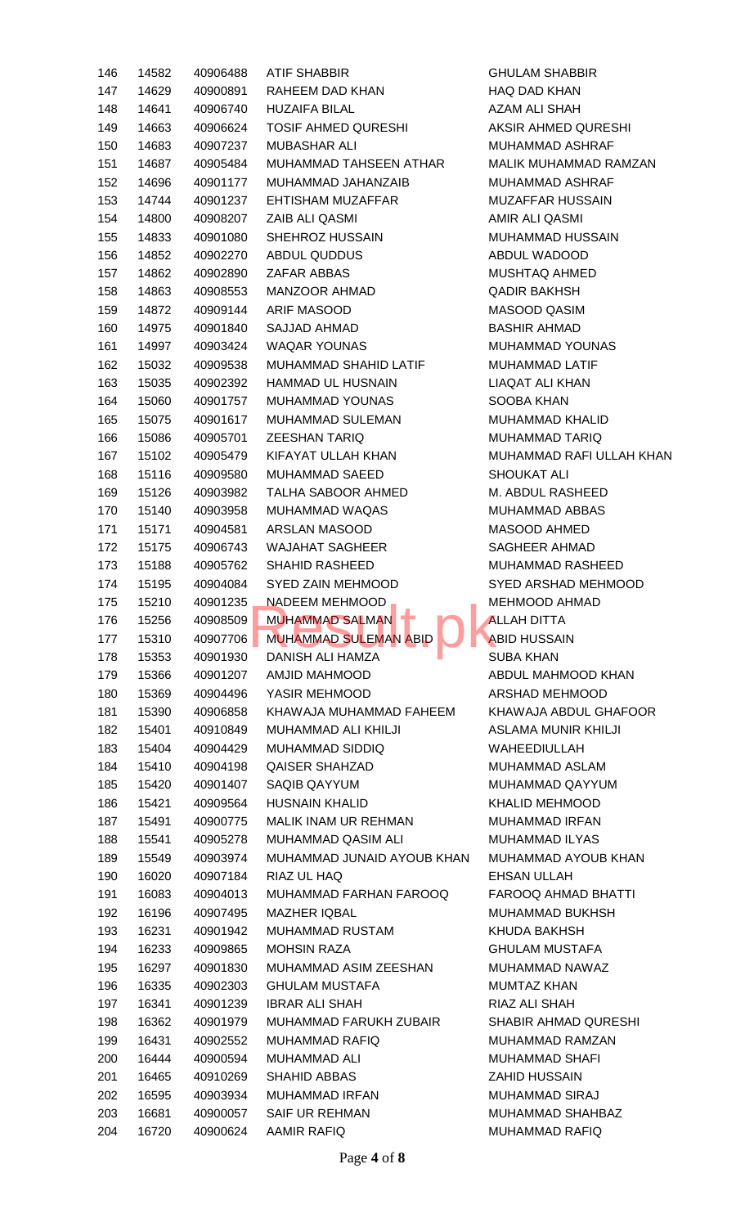| 146<br>147<br>148<br>149<br>150<br>151<br>152<br>153<br>154<br>155 | 14582<br>14629<br>14641<br>14663 | 40906488<br>40900891 | ATIF SHABBIR                               | <b>GHULAM SHABBIR</b>       |
|--------------------------------------------------------------------|----------------------------------|----------------------|--------------------------------------------|-----------------------------|
|                                                                    |                                  |                      |                                            |                             |
|                                                                    |                                  |                      | RAHEEM DAD KHAN                            | HAQ DAD KHAN                |
|                                                                    |                                  | 40906740             | <b>HUZAIFA BILAL</b>                       | AZAM ALI SHAH               |
|                                                                    |                                  | 40906624             | TOSIF AHMED QURESHI                        | AKSIR AHMED QURESHI         |
|                                                                    | 14683                            | 40907237             | MUBASHAR ALI                               | <b>MUHAMMAD ASHRAF</b>      |
|                                                                    | 14687                            | 40905484             | MUHAMMAD TAHSEEN ATHAR                     | MALIK MUHAMMAD RAMZAN       |
|                                                                    | 14696                            | 40901177             | MUHAMMAD JAHANZAIB                         | MUHAMMAD ASHRAF             |
|                                                                    | 14744                            | 40901237             | EHTISHAM MUZAFFAR                          | MUZAFFAR HUSSAIN            |
|                                                                    | 14800                            | 40908207             | ZAIB ALI QASMI                             | AMIR ALI QASMI              |
|                                                                    | 14833                            | 40901080             | SHEHROZ HUSSAIN                            | MUHAMMAD HUSSAIN            |
| 156                                                                | 14852                            | 40902270             | ABDUL QUDDUS                               | ABDUL WADOOD                |
| 157                                                                | 14862                            | 40902890             | ZAFAR ABBAS                                | MUSHTAQ AHMED               |
| 158                                                                | 14863                            | 40908553             | MANZOOR AHMAD                              | <b>QADIR BAKHSH</b>         |
| 159                                                                | 14872                            | 40909144             | ARIF MASOOD                                | MASOOD QASIM                |
| 160                                                                | 14975                            | 40901840             | SAJJAD AHMAD                               | <b>BASHIR AHMAD</b>         |
| 161                                                                | 14997                            | 40903424             | <b>WAQAR YOUNAS</b>                        | MUHAMMAD YOUNAS             |
| 162                                                                | 15032                            | 40909538             | MUHAMMAD SHAHID LATIF                      | <b>MUHAMMAD LATIF</b>       |
| 163                                                                | 15035                            | 40902392             | <b>HAMMAD UL HUSNAIN</b>                   | <b>LIAQAT ALI KHAN</b>      |
| 164                                                                | 15060                            | 40901757             | MUHAMMAD YOUNAS                            | SOOBA KHAN                  |
| 165                                                                | 15075                            | 40901617             | MUHAMMAD SULEMAN                           | <b>MUHAMMAD KHALID</b>      |
| 166                                                                | 15086                            | 40905701             | <b>ZEESHAN TARIQ</b>                       | <b>MUHAMMAD TARIQ</b>       |
| 167                                                                | 15102                            | 40905479             | KIFAYAT ULLAH KHAN                         | MUHAMMAD RAFI ULLAH KHAN    |
| 168                                                                | 15116                            | 40909580             | MUHAMMAD SAEED                             | <b>SHOUKAT ALI</b>          |
| 169                                                                | 15126                            | 40903982             | TALHA SABOOR AHMED                         | M. ABDUL RASHEED            |
| 170                                                                | 15140                            | 40903958             | MUHAMMAD WAQAS                             | MUHAMMAD ABBAS              |
| 171                                                                | 15171                            | 40904581             | ARSLAN MASOOD                              | MASOOD AHMED                |
| 172                                                                | 15175                            | 40906743             | WAJAHAT SAGHEER                            | <b>SAGHEER AHMAD</b>        |
| 173                                                                | 15188                            | 40905762             | <b>SHAHID RASHEED</b>                      | MUHAMMAD RASHEED            |
| 174                                                                | 15195                            | 40904084             | SYED ZAIN MEHMOOD                          | SYED ARSHAD MEHMOOD         |
| 175                                                                | 15210                            | 40901235             | NADEEM MEHMOOD _ _ _ _ _ _ _ MEHMOOD AHMAD |                             |
| 176                                                                | 15256                            | 40908509             | MUHAMMAD SALMAN                            | <b>ALLAH DITTA</b>          |
| 177                                                                | 15310                            | 40907706             | <b>MUHAMMAD SULEMAN ABID</b>               | <b>ABID HUSSAIN</b>         |
| 178                                                                | 15353                            |                      | <b>DANISH ALI HAMZA</b>                    | <b>SUBA KHAN</b>            |
|                                                                    |                                  | 40901930             |                                            |                             |
| 179                                                                | 15366                            | 40901207             | AMJID MAHMOOD                              | ABDUL MAHMOOD KHAN          |
| 180                                                                | 15369                            | 40904496             | YASIR MEHMOOD                              | ARSHAD MEHMOOD              |
| 181                                                                | 15390                            | 40906858             | KHAWAJA MUHAMMAD FAHEEM                    | KHAWAJA ABDUL GHAFOOR       |
| 182                                                                | 15401                            | 40910849             | MUHAMMAD ALI KHILJI                        | <b>ASLAMA MUNIR KHILJI</b>  |
| 183                                                                | 15404                            | 40904429             | MUHAMMAD SIDDIQ                            | <b>WAHEEDIULLAH</b>         |
| 184                                                                | 15410                            | 40904198             | <b>QAISER SHAHZAD</b>                      | MUHAMMAD ASLAM              |
| 185                                                                | 15420                            | 40901407             | SAQIB QAYYUM                               | MUHAMMAD QAYYUM             |
| 186                                                                | 15421                            | 40909564             | <b>HUSNAIN KHALID</b>                      | <b>KHALID MEHMOOD</b>       |
| 187                                                                | 15491                            | 40900775             | <b>MALIK INAM UR REHMAN</b>                | <b>MUHAMMAD IRFAN</b>       |
| 188                                                                | 15541                            | 40905278             | MUHAMMAD QASIM ALI                         | <b>MUHAMMAD ILYAS</b>       |
| 189                                                                | 15549                            | 40903974             | MUHAMMAD JUNAID AYOUB KHAN                 | MUHAMMAD AYOUB KHAN         |
| 190                                                                | 16020                            | 40907184             | RIAZ UL HAQ                                | <b>EHSAN ULLAH</b>          |
| 191                                                                | 16083                            | 40904013             | MUHAMMAD FARHAN FAROOQ                     | FAROOQ AHMAD BHATTI         |
| 192                                                                | 16196                            | 40907495             | <b>MAZHER IQBAL</b>                        | <b>MUHAMMAD BUKHSH</b>      |
| 193                                                                | 16231                            | 40901942             | <b>MUHAMMAD RUSTAM</b>                     | KHUDA BAKHSH                |
| 194                                                                | 16233                            | 40909865             | <b>MOHSIN RAZA</b>                         | <b>GHULAM MUSTAFA</b>       |
| 195                                                                | 16297                            | 40901830             | MUHAMMAD ASIM ZEESHAN                      | MUHAMMAD NAWAZ              |
| 196                                                                | 16335                            | 40902303             | <b>GHULAM MUSTAFA</b>                      | <b>MUMTAZ KHAN</b>          |
| 197                                                                | 16341                            | 40901239             | <b>IBRAR ALI SHAH</b>                      | RIAZ ALI SHAH               |
| 198                                                                | 16362                            | 40901979             | MUHAMMAD FARUKH ZUBAIR                     | <b>SHABIR AHMAD QURESHI</b> |
| 199                                                                | 16431                            | 40902552             | <b>MUHAMMAD RAFIQ</b>                      | <b>MUHAMMAD RAMZAN</b>      |
| 200                                                                | 16444                            | 40900594             | <b>MUHAMMAD ALI</b>                        | <b>MUHAMMAD SHAFI</b>       |
| 201                                                                | 16465                            | 40910269             | <b>SHAHID ABBAS</b>                        | <b>ZAHID HUSSAIN</b>        |
| 202                                                                | 16595                            | 40903934             | <b>MUHAMMAD IRFAN</b>                      | <b>MUHAMMAD SIRAJ</b>       |
| 203                                                                | 16681                            | 40900057             | <b>SAIF UR REHMAN</b>                      | <b>MUHAMMAD SHAHBAZ</b>     |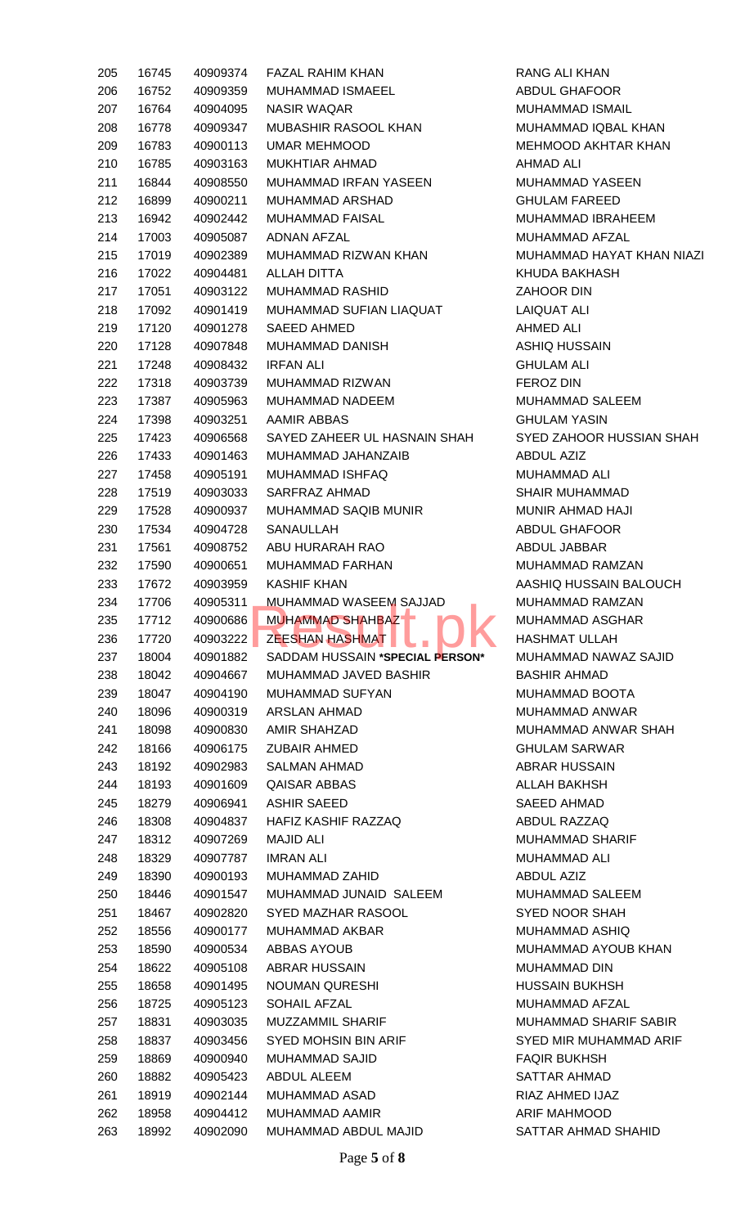| 205        | 16745          | 40909374             | FAZAL RAHIM KHAN                                         |
|------------|----------------|----------------------|----------------------------------------------------------|
| 206        | 16752          | 40909359             | <b>MUHAMMAD ISMAEEL</b>                                  |
| 207        | 16764          | 40904095             | NASIR WAQAR                                              |
| 208        | 16778          | 40909347             | MUBASHIR RASOOL KHAN                                     |
| 209        | 16783          | 40900113             | UMAR MEHMOOD                                             |
| 210        | 16785          | 40903163             | MUKHTIAR AHMAD                                           |
| 211        | 16844          | 40908550             | MUHAMMAD IRFAN YASEEN                                    |
| 212        | 16899          | 40900211             | MUHAMMAD ARSHAD                                          |
| 213        | 16942          | 40902442             | <b>MUHAMMAD FAISAL</b>                                   |
| 214        | 17003          | 40905087             | ADNAN AFZAL                                              |
| 215        | 17019          | 40902389             | MUHAMMAD RIZWAN KHAN                                     |
| 216        | 17022          | 40904481             | ALLAH DITTA                                              |
| 217        | 17051          | 40903122             | <b>MUHAMMAD RASHID</b>                                   |
| 218        | 17092          | 40901419             | MUHAMMAD SUFIAN LIAQUAT                                  |
| 219        | 17120          | 40901278             | SAEED AHMED                                              |
|            |                |                      | <b>MUHAMMAD DANISH</b>                                   |
| 220        | 17128          | 40907848             |                                                          |
| 221        | 17248          | 40908432             | IRFAN ALI                                                |
| 222        | 17318          | 40903739             | MUHAMMAD RIZWAN                                          |
| 223        | 17387          | 40905963             | <b>MUHAMMAD NADEEM</b>                                   |
| 224        | 17398          | 40903251             | AAMIR ABBAS                                              |
| 225        | 17423          | 40906568             | SAYED ZAHEER UL HASNAIN SHAH                             |
| 226        | 17433          | 40901463             | MUHAMMAD JAHANZAIB                                       |
| 227        | 17458          | 40905191             | MUHAMMAD ISHFAQ                                          |
| 228        | 17519          | 40903033             | SARFRAZ AHMAD                                            |
| 229        | 17528          | 40900937             | <b>MUHAMMAD SAQIB MUNIR</b>                              |
| 230        | 17534          | 40904728             | SANAULLAH                                                |
| 231        | 17561          | 40908752             | ABU HURARAH RAO                                          |
| 232        | 17590          | 40900651             | <b>MUHAMMAD FARHAN</b>                                   |
| 233        | 17672          | 40903959             | KASHIF KHAN                                              |
| 234        | 17706          | 40905311             | MUHAMMAD WASEEM SAJJAD                                   |
| 235        | 17712          | 40900686             | <b>MUHAMMAD SHAHBAZ</b>                                  |
| 236        | 17720          | 40903222             | <b>ZEESHAN HASHMAT</b>                                   |
| 237<br>238 | 18004<br>18042 | 40901882<br>40904667 | SADDAM HUSSAIN *SPECIAL PERSON*<br>MUHAMMAD JAVED BASHIR |
| 239        | 18047          | 40904190             | <b>MUHAMMAD SUFYAN</b>                                   |
| 240        | 18096          | 40900319             | ARSLAN AHMAD                                             |
| 241        | 18098          | 40900830             | AMIR SHAHZAD                                             |
| 242        |                | 40906175             | <b>ZUBAIR AHMED</b>                                      |
| 243        | 18166<br>18192 | 40902983             | SALMAN AHMAD                                             |
| 244        | 18193          | 40901609             | QAISAR ABBAS                                             |
| 245        | 18279          | 40906941             | <b>ASHIR SAEED</b>                                       |
| 246        | 18308          | 40904837             | HAFIZ KASHIF RAZZAQ                                      |
| 247        | 18312          | 40907269             | MAJID ALI                                                |
| 248        | 18329          | 40907787             | IMRAN ALI                                                |
| 249        | 18390          | 40900193             | <b>MUHAMMAD ZAHID</b>                                    |
| 250        | 18446          | 40901547             | MUHAMMAD JUNAID SALEEM                                   |
| 251        | 18467          | 40902820             | SYED MAZHAR RASOOL                                       |
| 252        | 18556          | 40900177             | MUHAMMAD AKBAR                                           |
| 253        | 18590          | 40900534             | <b>ABBAS AYOUB</b>                                       |
| 254        | 18622          | 40905108             | ABRAR HUSSAIN                                            |
| 255        | 18658          | 40901495             | <b>NOUMAN QURESHI</b>                                    |
| 256        | 18725          | 40905123             | SOHAIL AFZAL                                             |
| 257        | 18831          | 40903035             | MUZZAMMIL SHARIF                                         |
| 258        | 18837          | 40903456             | SYED MOHSIN BIN ARIF                                     |
| 259        | 18869          | 40900940             | <b>MUHAMMAD SAJID</b>                                    |
| 260        | 18882          | 40905423             | ABDUL ALEEM                                              |
|            |                |                      |                                                          |
|            |                |                      |                                                          |
| 261        | 18919          | 40902144             | <b>MUHAMMAD ASAD</b>                                     |
| 262<br>263 | 18958<br>18992 | 40904412<br>40902090 | <b>MUHAMMAD AAMIR</b><br>MUHAMMAD ABDUL MAJID            |

RANG ALI KHAN ABDUL GHAFOOR MUHAMMAD ISMAIL MUHAMMAD IQBAL KHAN MEHMOOD AKHTAR KHAN AHMAD ALI MUHAMMAD YASEEN **GHULAM FAREED** MUHAMMAD IBRAHEEM MUHAMMAD AFZAL MUHAMMAD HAYAT KHAN NIAZI KHUDA BAKHASH ZAHOOR DIN LAIQUAT ALI AHMED ALI ASHIQ HUSSAIN **GHULAM ALI** FEROZ DIN MUHAMMAD SALEEM **GHULAM YASIN** SYED ZAHOOR HUSSIAN SHAH ABDUL AZIZ MUHAMMAD ALI SHAIR MUHAMMAD MUNIR AHMAD HAJI ABDUL GHAFOOR ABDUL JABBAR MUHAMMAD RAMZAN AASHIQ HUSSAIN BALOUCH MUHAMMAD RAMZAN MUHAMMAD ASGHAR HASHMAT ULLAH 237 18004 40901882 SADDAM HUSSAIN **\*SPECIAL PERSON\*** MUHAMMAD NAWAZ SAJID BASHIR AHMAD MUHAMMAD BOOTA MUHAMMAD ANWAR MUHAMMAD ANWAR SHAH GHULAM SARWAR **ABRAR HUSSAIN** ALLAH BAKHSH SAEED AHMAD ABDUL RAZZAQ MUHAMMAD SHARIF MUHAMMAD ALI ABDUL AZIZ MUHAMMAD SALEEM SYED NOOR SHAH MUHAMMAD ASHIQ MUHAMMAD AYOUB KHAN MUHAMMAD DIN HUSSAIN BUKHSH MUHAMMAD AFZAL MUHAMMAD SHARIF SABIR SYED MIR MUHAMMAD ARIF **FAQIR BUKHSH** SATTAR AHMAD RIAZ AHMED IJAZ ARIF MAHMOOD SATTAR AHMAD SHAHID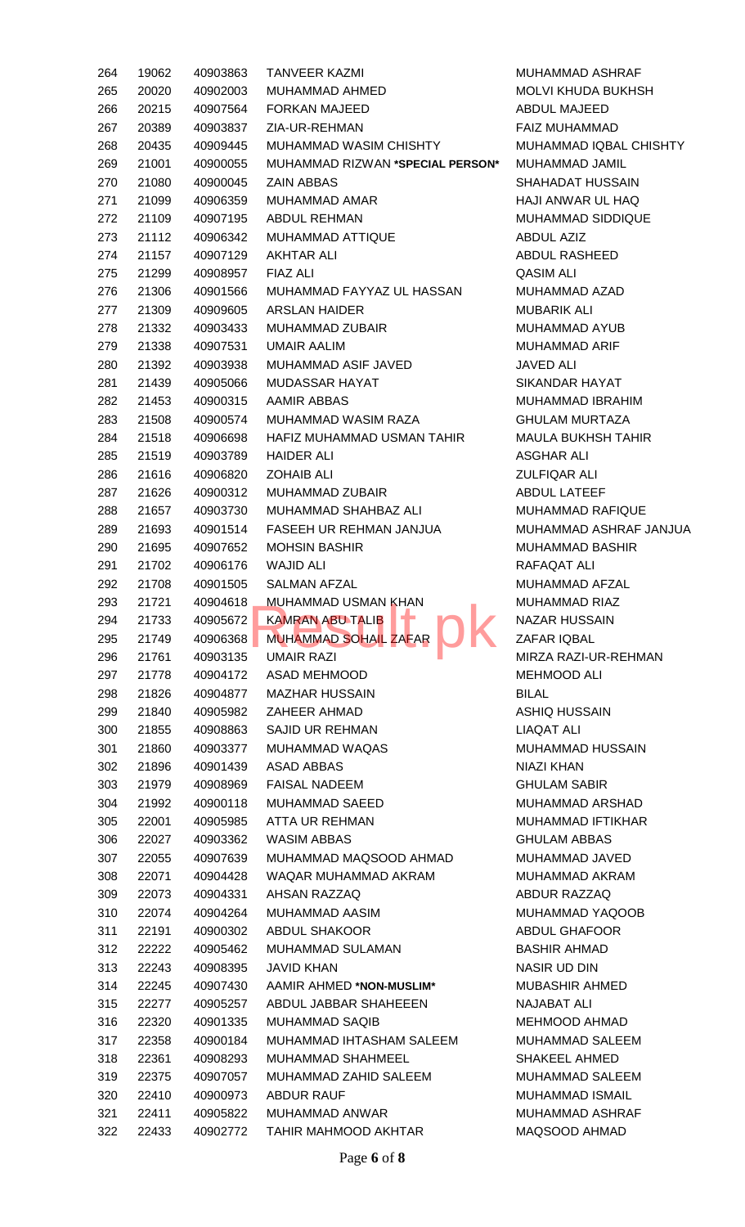| 264 | 19062 | 40903863 | <b>TANVEER KAZMI</b>             | <b>MUHA</b>  |
|-----|-------|----------|----------------------------------|--------------|
| 265 | 20020 | 40902003 | MUHAMMAD AHMED                   | <b>MOLV</b>  |
| 266 | 20215 | 40907564 | <b>FORKAN MAJEED</b>             | ABDU         |
| 267 | 20389 | 40903837 | ZIA-UR-REHMAN                    | <b>FAIZ</b>  |
| 268 | 20435 | 40909445 | <b>MUHAMMAD WASIM CHISHTY</b>    | <b>MUHA</b>  |
| 269 | 21001 | 40900055 | MUHAMMAD RIZWAN *SPECIAL PERSON* | <b>MUHA</b>  |
| 270 | 21080 | 40900045 | <b>ZAIN ABBAS</b>                | <b>SHAH</b>  |
| 271 | 21099 | 40906359 | MUHAMMAD AMAR                    | HAJI /       |
| 272 | 21109 | 40907195 | <b>ABDUL REHMAN</b>              | <b>MUHA</b>  |
| 273 | 21112 | 40906342 | <b>MUHAMMAD ATTIQUE</b>          | ABDU         |
| 274 | 21157 | 40907129 | <b>AKHTAR ALI</b>                | ABDU         |
| 275 | 21299 | 40908957 | <b>FIAZ ALI</b>                  | QASIM        |
| 276 | 21306 | 40901566 | MUHAMMAD FAYYAZ UL HASSAN        | <b>MUHA</b>  |
| 277 | 21309 | 40909605 | <b>ARSLAN HAIDER</b>             | <b>MUBA</b>  |
| 278 | 21332 | 40903433 | <b>MUHAMMAD ZUBAIR</b>           | <b>MUHA</b>  |
| 279 | 21338 | 40907531 | <b>UMAIR AALIM</b>               | <b>MUHA</b>  |
| 280 | 21392 | 40903938 | MUHAMMAD ASIF JAVED              | <b>JAVEI</b> |
| 281 | 21439 | 40905066 | <b>MUDASSAR HAYAT</b>            | <b>SIKAN</b> |
| 282 | 21453 | 40900315 | <b>AAMIR ABBAS</b>               | <b>MUHA</b>  |
| 283 | 21508 | 40900574 | MUHAMMAD WASIM RAZA              | <b>GHUL</b>  |
| 284 | 21518 | 40906698 | HAFIZ MUHAMMAD USMAN TAHIR       | <b>MAUL</b>  |
| 285 | 21519 | 40903789 | <b>HAIDER ALI</b>                | <b>ASGH</b>  |
| 286 | 21616 | 40906820 | <b>ZOHAIB ALI</b>                | <b>ZULFI</b> |
| 287 | 21626 | 40900312 | <b>MUHAMMAD ZUBAIR</b>           | ABDU         |
| 288 | 21657 | 40903730 | MUHAMMAD SHAHBAZ ALI             | <b>MUHA</b>  |
| 289 | 21693 | 40901514 | FASEEH UR REHMAN JANJUA          | <b>MUHA</b>  |
| 290 | 21695 | 40907652 | <b>MOHSIN BASHIR</b>             | <b>MUHA</b>  |
| 291 | 21702 | 40906176 | <b>WAJID ALI</b>                 | <b>RAFA</b>  |
| 292 | 21708 | 40901505 | SALMAN AFZAL                     | <b>MUHA</b>  |
| 293 | 21721 | 40904618 | <b>MUHAMMAD USMAN KHAN</b>       | <b>MUHA</b>  |
| 294 | 21733 | 40905672 | <b>KAMRAN ABU TALIB</b>          | <b>NAZA</b>  |
| 295 | 21749 | 40906368 | MUHAMMAD SOHAIL ZAFAR            | <b>ZAFAI</b> |
| 296 | 21761 | 40903135 | <b>UMAIR RAZI</b>                | MIRZ/        |
| 297 | 21778 | 40904172 | <b>ASAD MEHMOOD</b>              | <b>MEHN</b>  |
| 298 | 21826 | 40904877 | <b>MAZHAR HUSSAIN</b>            | <b>BILAL</b> |
| 299 | 21840 | 40905982 | ZAHEER AHMAD                     | <b>ASHIC</b> |
| 300 | 21855 | 40908863 | <b>SAJID UR REHMAN</b>           | <b>LIAQA</b> |
| 301 | 21860 | 40903377 | <b>MUHAMMAD WAQAS</b>            | <b>MUHA</b>  |
| 302 | 21896 | 40901439 | <b>ASAD ABBAS</b>                | <b>NIAZI</b> |
| 303 | 21979 | 40908969 | <b>FAISAL NADEEM</b>             | <b>GHUL</b>  |
| 304 | 21992 | 40900118 | <b>MUHAMMAD SAEED</b>            | <b>MUHA</b>  |
| 305 | 22001 | 40905985 | <b>ATTA UR REHMAN</b>            | <b>MUHA</b>  |
| 306 | 22027 | 40903362 | <b>WASIM ABBAS</b>               | <b>GHUL</b>  |
| 307 | 22055 | 40907639 | MUHAMMAD MAQSOOD AHMAD           | <b>MUHA</b>  |
| 308 | 22071 | 40904428 | WAQAR MUHAMMAD AKRAM             | <b>MUHA</b>  |
| 309 | 22073 | 40904331 | AHSAN RAZZAQ                     | ABDU         |
| 310 | 22074 | 40904264 | MUHAMMAD AASIM                   | <b>MUHA</b>  |
| 311 | 22191 | 40900302 | <b>ABDUL SHAKOOR</b>             | ABDU         |
| 312 | 22222 | 40905462 | MUHAMMAD SULAMAN                 | <b>BASH</b>  |
| 313 | 22243 | 40908395 | <b>JAVID KHAN</b>                | <b>NASIF</b> |
| 314 | 22245 | 40907430 | AAMIR AHMED *NON-MUSLIM*         | <b>MUBA</b>  |
| 315 | 22277 | 40905257 | ABDUL JABBAR SHAHEEEN            | <b>NAJAI</b> |
| 316 | 22320 | 40901335 | <b>MUHAMMAD SAQIB</b>            | <b>MEHN</b>  |
| 317 | 22358 | 40900184 | MUHAMMAD IHTASHAM SALEEM         | <b>MUHA</b>  |
| 318 | 22361 | 40908293 | <b>MUHAMMAD SHAHMEEL</b>         | <b>SHAK</b>  |
| 319 | 22375 | 40907057 | MUHAMMAD ZAHID SALEEM            | <b>MUHA</b>  |
| 320 | 22410 | 40900973 | <b>ABDUR RAUF</b>                | <b>MUHA</b>  |
| 321 | 22411 | 40905822 | <b>MUHAMMAD ANWAR</b>            | <b>MUHA</b>  |
| 322 | 22433 | 40902772 | TAHIR MAHMOOD AKHTAR             | <b>MAQS</b>  |
|     |       |          |                                  |              |

**MUBASHIR AHMED** NAJABAT ALI MEHMOOD AHMAD MUHAMMAD SALEEM SHAKEEL AHMED MUHAMMAD SALEEM MUHAMMAD ISMAIL MUHAMMAD ASHRAF MAQSOOD AHMAD

MUHAMMAD ASHRAF MOLVI KHUDA BUKHSH

MUHAMMAD IQBAL CHISHTY

ABDUL MAJEED FAIZ MUHAMMAD

269 21001 40900055 MUHAMMAD RIZWAN **\*SPECIAL PERSON\*** MUHAMMAD JAMIL SHAHADAT HUSSAIN HAJI ANWAR UL HAQ MUHAMMAD SIDDIQUE

MUHAMMAD AZAD

SIKANDAR HAYAT MUHAMMAD IBRAHIM **GHULAM MURTAZA** MAULA BUKHSH TAHIR

MUHAMMAD RAFIQUE

MUHAMMAD BASHIR

MUHAMMAD AFZAL MUHAMMAD RIAZ NAZAR HUSSAIN ZAFAR IQBAL

MIRZA RAZI-UR-REHMAN

RAFAQAT ALI

MEHMOOD ALI

ASHIQ HUSSAIN LIAQAT ALI

**GHULAM ABBAS** MUHAMMAD JAVED MUHAMMAD AKRAM ABDUR RAZZAQ MUHAMMAD YAQOOB ABDUL GHAFOOR BASHIR AHMAD **NASIR UD DIN** 

NIAZI KHAN **GHULAM SABIR** MUHAMMAD ARSHAD MUHAMMAD IFTIKHAR

MUHAMMAD HUSSAIN

MUHAMMAD ASHRAF JANJUA

ABDUL AZIZ ABDUL RASHEED

QASIM ALI

JAVED ALI

ASGHAR ALI ZULFIQAR ALI ABDUL LATEEF

MUBARIK ALI MUHAMMAD AYUB MUHAMMAD ARIF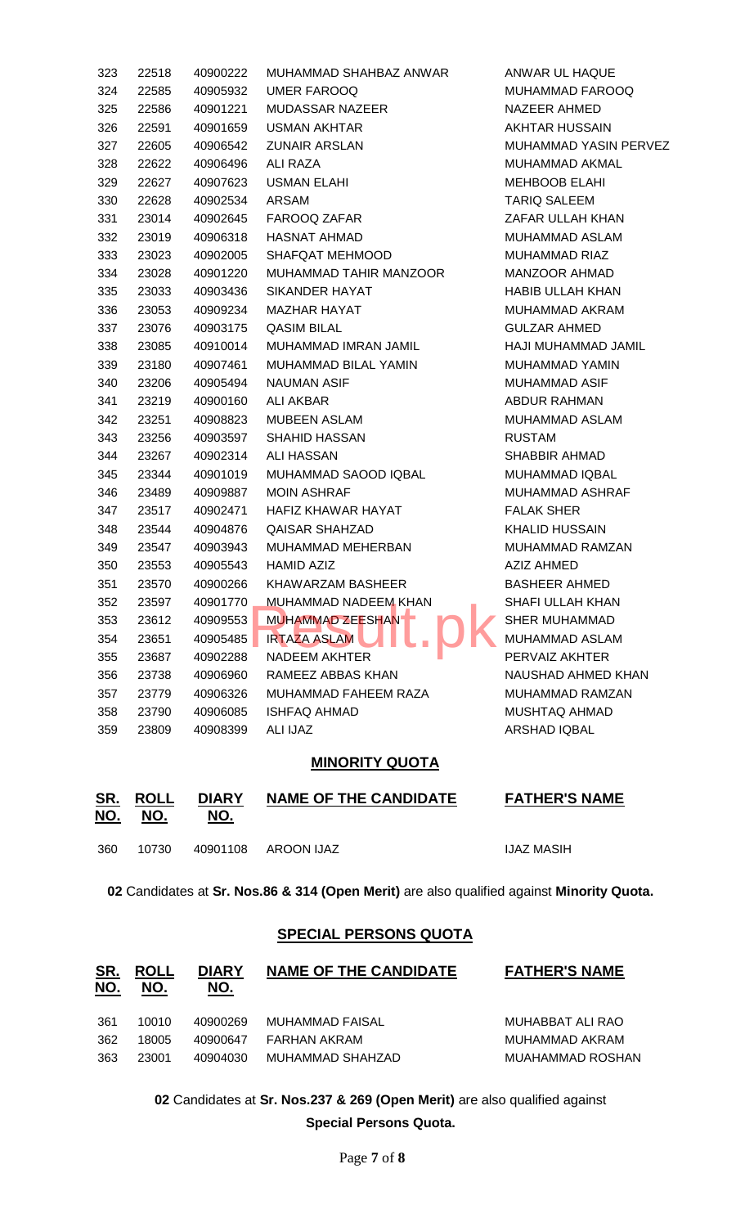| 323 | 22518 | 40900222 | MUHAMMAD SHAHBAZ ANWAR      | ANWAR UL HAQUE               |
|-----|-------|----------|-----------------------------|------------------------------|
| 324 | 22585 | 40905932 | UMER FAROOQ                 | MUHAMMAD FAROOQ              |
| 325 | 22586 | 40901221 | <b>MUDASSAR NAZEER</b>      | NAZEER AHMED                 |
| 326 | 22591 | 40901659 | <b>USMAN AKHTAR</b>         | <b>AKHTAR HUSSAIN</b>        |
| 327 | 22605 | 40906542 | <b>ZUNAIR ARSLAN</b>        | <b>MUHAMMAD YASIN PERVEZ</b> |
| 328 | 22622 | 40906496 | ALI RAZA                    | MUHAMMAD AKMAL               |
| 329 | 22627 | 40907623 | <b>USMAN ELAHI</b>          | <b>MEHBOOB ELAHI</b>         |
| 330 | 22628 | 40902534 | ARSAM                       | <b>TARIQ SALEEM</b>          |
| 331 | 23014 | 40902645 | FAROOQ ZAFAR                | ZAFAR ULLAH KHAN             |
| 332 | 23019 | 40906318 | <b>HASNAT AHMAD</b>         | <b>MUHAMMAD ASLAM</b>        |
| 333 | 23023 | 40902005 | SHAFQAT MEHMOOD             | <b>MUHAMMAD RIAZ</b>         |
| 334 | 23028 | 40901220 | MUHAMMAD TAHIR MANZOOR      | <b>MANZOOR AHMAD</b>         |
| 335 | 23033 | 40903436 | SIKANDER HAYAT              | <b>HABIB ULLAH KHAN</b>      |
| 336 | 23053 | 40909234 | <b>MAZHAR HAYAT</b>         | MUHAMMAD AKRAM               |
| 337 | 23076 | 40903175 | <b>QASIM BILAL</b>          | <b>GULZAR AHMED</b>          |
| 338 | 23085 | 40910014 | MUHAMMAD IMRAN JAMIL        | HAJI MUHAMMAD JAMIL          |
| 339 | 23180 | 40907461 | MUHAMMAD BILAL YAMIN        | <b>MUHAMMAD YAMIN</b>        |
| 340 | 23206 | 40905494 | NAUMAN ASIF                 | <b>MUHAMMAD ASIF</b>         |
| 341 | 23219 | 40900160 | <b>ALI AKBAR</b>            | ABDUR RAHMAN                 |
| 342 | 23251 | 40908823 | <b>MUBEEN ASLAM</b>         | MUHAMMAD ASLAM               |
| 343 | 23256 | 40903597 | <b>SHAHID HASSAN</b>        | <b>RUSTAM</b>                |
| 344 | 23267 | 40902314 | <b>ALI HASSAN</b>           | <b>SHABBIR AHMAD</b>         |
| 345 | 23344 | 40901019 | MUHAMMAD SAOOD IQBAL        | MUHAMMAD IQBAL               |
| 346 | 23489 | 40909887 | <b>MOIN ASHRAF</b>          | MUHAMMAD ASHRAF              |
| 347 | 23517 | 40902471 | HAFIZ KHAWAR HAYAT          | <b>FALAK SHER</b>            |
| 348 | 23544 | 40904876 | <b>QAISAR SHAHZAD</b>       | <b>KHALID HUSSAIN</b>        |
| 349 | 23547 | 40903943 | MUHAMMAD MEHERBAN           | MUHAMMAD RAMZAN              |
| 350 | 23553 | 40905543 | <b>HAMID AZIZ</b>           | <b>AZIZ AHMED</b>            |
| 351 | 23570 | 40900266 | KHAWARZAM BASHEER           | BASHEER AHMED                |
| 352 | 23597 | 40901770 | <b>MUHAMMAD NADEEM KHAN</b> | <b>SHAFI ULLAH KHAN</b>      |
| 353 | 23612 | 40909553 | MUHAMMAD ZEESHAN            | <b>SHER MUHAMMAD</b>         |
| 354 | 23651 | 40905485 | <b>IRTAZA ASLAM</b>         | MUHAMMAD ASLAM               |
| 355 | 23687 | 40902288 | <b>NADEEM AKHTER</b>        | PERVAIZ AKHTER               |
| 356 | 23738 | 40906960 | RAMEEZ ABBAS KHAN           | NAUSHAD AHMED KHAN           |
| 357 | 23779 | 40906326 | MUHAMMAD FAHEEM RAZA        | MUHAMMAD RAMZAN              |
| 358 | 23790 | 40906085 | <b>ISHFAQ AHMAD</b>         | MUSHTAQ AHMAD                |
| 359 | 23809 | 40908399 | ALI IJAZ                    | <b>ARSHAD IQBAL</b>          |

#### **MINORITY QUOTA**

| <u>SR.</u><br><u>NO.</u> | <b>ROLL</b><br>NO. | <b>DIARY</b><br>NO. | <b>NAME OF THE CANDIDATE</b> | <b>FATHER'S NAME</b> |
|--------------------------|--------------------|---------------------|------------------------------|----------------------|
| 360                      | 10730              |                     | 40901108 AROON IJAZ          | IJAZ MASIH           |

Candidates at **Sr. Nos.86 & 314 (Open Merit)** are also qualified against **Minority Quota.**

### **SPECIAL PERSONS QUOTA**

| <u>SR.</u><br><u>NO.</u> | <b>ROLL</b><br>NO. | <b>DIARY</b><br>NO. | <b>NAME OF THE CANDIDATE</b> | <b>FATHER'S NAME</b> |
|--------------------------|--------------------|---------------------|------------------------------|----------------------|
| 361                      | 10010              | 40900269            | MUHAMMAD FAISAL              | MUHABBAT ALI RAO     |
| 362                      | 18005              | 40900647            | FARHAN AKRAM                 | MUHAMMAD AKRAM       |
| 363                      | 23001              | 40904030            | MUHAMMAD SHAHZAD             | MUAHAMMAD ROSHAN     |

 Candidates at **Sr. Nos.237 & 269 (Open Merit)** are also qualified against **Special Persons Quota.**